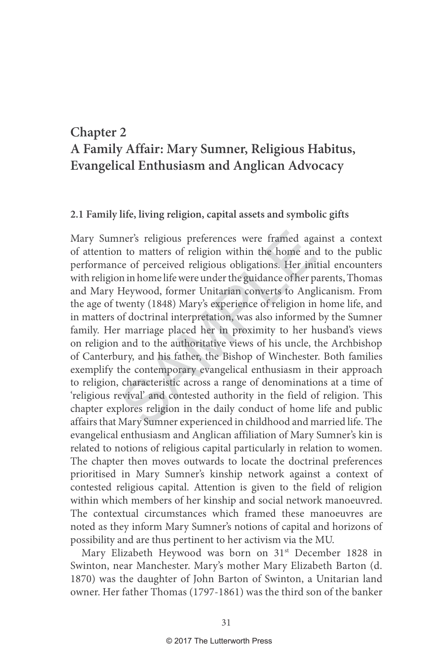## **Chapter 2 A Family Affair: Mary Sumner, Religious Habitus, Evangelical Enthusiasm and Anglican Advocacy**

## **2.1 Family life, living religion, capital assets and symbolic gifts**

ner's religious preferences were framed agan to matters of religion within the home ance of perceived religious obligations. Her inin in home life were under the guidance of her p-Heywood, former Unitarian converts to Angl Mary Sumner's religious preferences were framed against a context of attention to matters of religion within the home and to the public performance of perceived religious obligations. Her initial encounters with religion in home life were under the guidance of her parents, Thomas and Mary Heywood, former Unitarian converts to Anglicanism. From the age of twenty (1848) Mary's experience of religion in home life, and in matters of doctrinal interpretation, was also informed by the Sumner family. Her marriage placed her in proximity to her husband's views on religion and to the authoritative views of his uncle, the Archbishop of Canterbury, and his father, the Bishop of Winchester. Both families exemplify the contemporary evangelical enthusiasm in their approach to religion, characteristic across a range of denominations at a time of 'religious revival' and contested authority in the field of religion. This chapter explores religion in the daily conduct of home life and public affairs that Mary Sumner experienced in childhood and married life. The evangelical enthusiasm and Anglican affiliation of Mary Sumner's kin is related to notions of religious capital particularly in relation to women. The chapter then moves outwards to locate the doctrinal preferences prioritised in Mary Sumner's kinship network against a context of contested religious capital. Attention is given to the field of religion within which members of her kinship and social network manoeuvred. The contextual circumstances which framed these manoeuvres are noted as they inform Mary Sumner's notions of capital and horizons of possibility and are thus pertinent to her activism via the MU.

Mary Elizabeth Heywood was born on 31<sup>st</sup> December 1828 in Swinton, near Manchester. Mary's mother Mary Elizabeth Barton (d. 1870) was the daughter of John Barton of Swinton, a Unitarian land owner. Her father Thomas (1797-1861) was the third son of the banker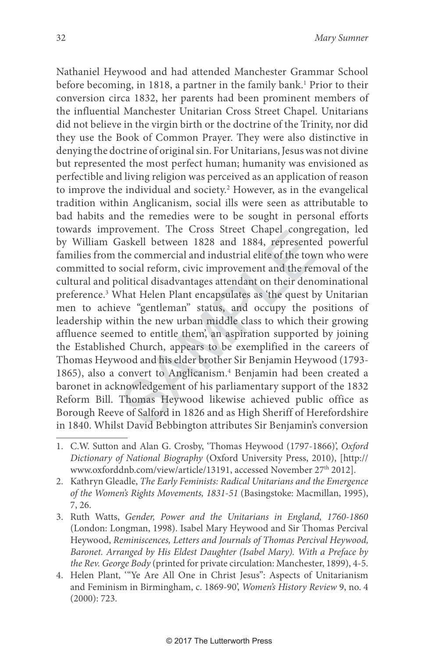Saskell between 1828 and 1884, represente<br>Faskell between 1828 and 1884, represente<br>the commercial and industrial elite of the tow<br>social reform, civic improvement and the ren<br>olitical disadvantages attendant on their deno Nathaniel Heywood and had attended Manchester Grammar School before becoming, in 1818, a partner in the family bank. 1 Prior to their conversion circa 1832, her parents had been prominent members of the influential Manchester Unitarian Cross Street Chapel. Unitarians did not believe in the virgin birth or the doctrine of the Trinity, nor did they use the Book of Common Prayer. They were also distinctive in denying the doctrine of original sin. For Unitarians, Jesus was not divine but represented the most perfect human; humanity was envisioned as perfectible and living religion was perceived as an application of reason to improve the individual and society. 2 However, as in the evangelical tradition within Anglicanism, social ills were seen as attributable to bad habits and the remedies were to be sought in personal efforts towards improvement. The Cross Street Chapel congregation, led by William Gaskell between 1828 and 1884, represented powerful families from the commercial and industrial elite of the town who were committed to social reform, civic improvement and the removal of the cultural and political disadvantages attendant on their denominational preference. 3 What Helen Plant encapsulates as 'the quest by Unitarian men to achieve "gentleman" status, and occupy the positions of leadership within the new urban middle class to which their growing affluence seemed to entitle them', an aspiration supported by joining the Established Church, appears to be exemplified in the careers of Thomas Heywood and his elder brother Sir Benjamin Heywood (1793- 1865), also a convert to Anglicanism. 4 Benjamin had been created a baronet in acknowledgement of his parliamentary support of the 1832 Reform Bill. Thomas Heywood likewise achieved public office as Borough Reeve of Salford in 1826 and as High Sheriff of Herefordshire in 1840. Whilst David Bebbington attributes Sir Benjamin's conversion

- 1. C.W. Sutton and Alan G. Crosby, 'Thomas Heywood (1797-1866)', Oxford Dictionary of National Biography (Oxford University Press, 2010), [http:// www.oxforddnb.com/view/article/13191, accessed November 27th 2012].
- 2. Kathryn Gleadle, The Early Feminists: Radical Unitarians and the Emergence of the Women's Rights Movements, 1831-51 (Basingstoke: Macmillan, 1995), 7, 26.
- 3. Ruth Watts, Gender, Power and the Unitarians in England, 1760-1860 (London: Longman, 1998). Isabel Mary Heywood and Sir Thomas Percival Heywood, Reminiscences, Letters and Journals of Thomas Percival Heywood, Baronet. Arranged by His Eldest Daughter (Isabel Mary). With a Preface by the Rev. George Body (printed for private circulation: Manchester, 1899), 4-5.
- 4. Helen Plant, "Ye Are All One in Christ Jesus": Aspects of Unitarianism and Feminism in Birmingham, c. 1869-90', Women's History Review 9, no. 4 (2000): 723.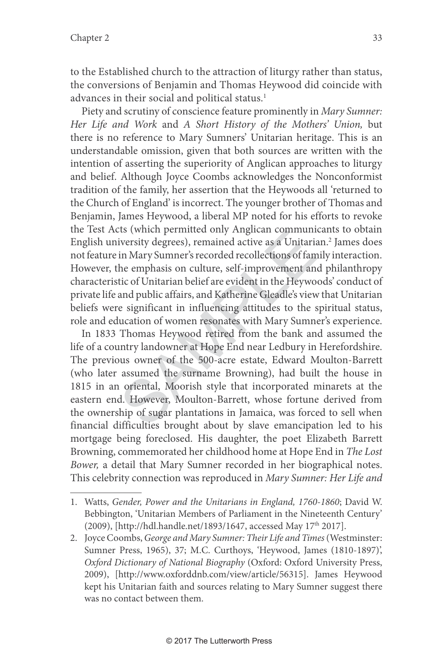to the Established church to the attraction of liturgy rather than status, the conversions of Benjamin and Thomas Heywood did coincide with advances in their social and political status. 1

Piety and scrutiny of conscience feature prominently in Mary Sumner: Her Life and Work and A Short History of the Mothers' Union, but there is no reference to Mary Sumners' Unitarian heritage. This is an understandable omission, given that both sources are written with the intention of asserting the superiority of Anglican approaches to liturgy and belief. Although Joyce Coombs acknowledges the Nonconformist tradition of the family, her assertion that the Heywoods all 'returned to the Church of England' is incorrect. The younger brother of Thomas and Benjamin, James Heywood, a liberal MP noted for his efforts to revoke the Test Acts (which permitted only Anglican communicants to obtain English university degrees), remained active as a Unitarian. 2 James does not feature in Mary Sumner's recorded recollections of family interaction. However, the emphasis on culture, self-improvement and philanthropy characteristic of Unitarian belief are evident in the Heywoods' conduct of private life and public affairs, and Katherine Gleadle's view that Unitarian beliefs were significant in influencing attitudes to the spiritual status, role and education of women resonates with Mary Sumner's experience.

Its (winch permitted omy Angnean community<br>iversity degrees), remained active as a Unitaria<br>in Mary Sumner's recorded recollections of fam<br>he emphasis on culture, self-improvement an<br>tic of Unitarian belief are evident in In 1833 Thomas Heywood retired from the bank and assumed the life of a country landowner at Hope End near Ledbury in Herefordshire. The previous owner of the 500-acre estate, Edward Moulton-Barrett (who later assumed the surname Browning), had built the house in 1815 in an oriental, Moorish style that incorporated minarets at the eastern end. However, Moulton-Barrett, whose fortune derived from the ownership of sugar plantations in Jamaica, was forced to sell when financial difficulties brought about by slave emancipation led to his mortgage being foreclosed. His daughter, the poet Elizabeth Barrett Browning, commemorated her childhood home at Hope End in The Lost Bower, a detail that Mary Sumner recorded in her biographical notes. This celebrity connection was reproduced in Mary Sumner: Her Life and

<sup>1.</sup> Watts, Gender, Power and the Unitarians in England, 1760-1860; David W. Bebbington, 'Unitarian Members of Parliament in the Nineteenth Century' (2009), [http://hdl.handle.net/1893/1647, accessed May 17<sup>th</sup> 2017].

<sup>2.</sup> Joyce Coombs, George and Mary Sumner: Their Life and Times (Westminster: Sumner Press, 1965), 37; M.C. Curthoys, 'Heywood, James (1810-1897)', Oxford Dictionary of National Biography (Oxford: Oxford University Press, 2009), [http://www.oxforddnb.com/view/article/56315]. James Heywood kept his Unitarian faith and sources relating to Mary Sumner suggest there was no contact between them.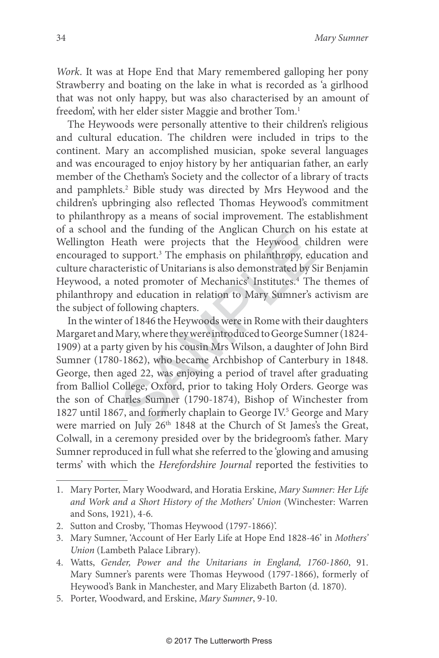Work. It was at Hope End that Mary remembered galloping her pony Strawberry and boating on the lake in what is recorded as 'a girlhood that was not only happy, but was also characterised by an amount of freedom', with her elder sister Maggie and brother Tom. 1

The Heywoods were personally attentive to their children's religious and cultural education. The children were included in trips to the continent. Mary an accomplished musician, spoke several languages and was encouraged to enjoy history by her antiquarian father, an early member of the Chetham's Society and the collector of a library of tracts and pamphlets. 2 Bible study was directed by Mrs Heywood and the children's upbringing also reflected Thomas Heywood's commitment to philanthropy as a means of social improvement. The establishment of a school and the funding of the Anglican Church on his estate at Wellington Heath were projects that the Heywood children were encouraged to support. 3 The emphasis on philanthropy, education and culture characteristic of Unitarians is also demonstrated by Sir Benjamin Heywood, a noted promoter of Mechanics' Institutes. 4 The themes of philanthropy and education in relation to Mary Sumner's activism are the subject of following chapters.

id the funding of the Anglican Church on F<br>
eath were projects that the Heywood chi<br>
support.<sup>3</sup> The emphasis on philanthropy, ed<br>
teristic of Unitarians is also demonstrated by S<br>
oted promoter of Mechanics' Institutes.<sup>4</sup> In the winter of 1846 the Heywoods were in Rome with their daughters Margaret and Mary, where they were introduced to George Sumner (1824- 1909) at a party given by his cousin Mrs Wilson, a daughter of John Bird Sumner (1780-1862), who became Archbishop of Canterbury in 1848. George, then aged 22, was enjoying a period of travel after graduating from Balliol College, Oxford, prior to taking Holy Orders. George was the son of Charles Sumner (1790-1874), Bishop of Winchester from 1827 until 1867, and formerly chaplain to George IV. 5 George and Mary were married on July 26<sup>th</sup> 1848 at the Church of St James's the Great, Colwall, in a ceremony presided over by the bridegroom's father. Mary Sumner reproduced in full what she referred to the 'glowing and amusing terms' with which the Herefordshire Journal reported the festivities to

- 4. Watts, Gender, Power and the Unitarians in England, 1760-1860, 91. Mary Sumner's parents were Thomas Heywood (1797-1866), formerly of Heywood's Bank in Manchester, and Mary Elizabeth Barton (d. 1870).
- 5. Porter, Woodward, and Erskine, Mary Sumner, 9-10.

<sup>1.</sup> Mary Porter, Mary Woodward, and Horatia Erskine, Mary Sumner: Her Life and Work and a Short History of the Mothers' Union (Winchester: Warren and Sons, 1921), 4-6.

<sup>2.</sup> Sutton and Crosby, 'Thomas Heywood (1797-1866)'.

<sup>3.</sup> Mary Sumner, 'Account of Her Early Life at Hope End 1828-46' in Mothers' Union (Lambeth Palace Library).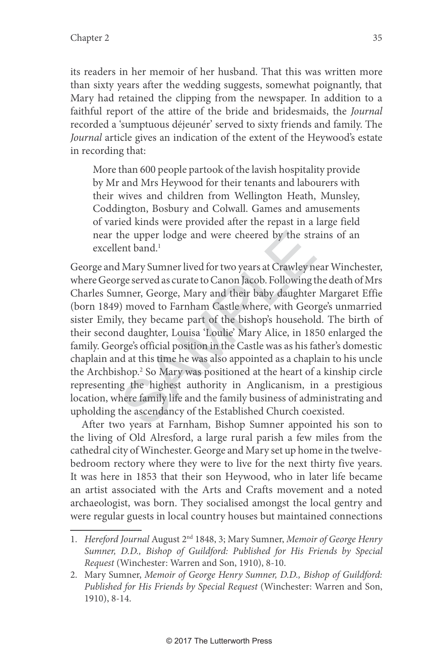its readers in her memoir of her husband. That this was written more than sixty years after the wedding suggests, somewhat poignantly, that Mary had retained the clipping from the newspaper. In addition to a faithful report of the attire of the bride and bridesmaids, the Journal recorded a 'sumptuous déjeunér' served to sixty friends and family. The Journal article gives an indication of the extent of the Heywood's estate in recording that:

More than 600 people partook of the lavish hospitality provide by Mr and Mrs Heywood for their tenants and labourers with their wives and children from Wellington Heath, Munsley, Coddington, Bosbury and Colwall. Games and amusements of varied kinds were provided after the repast in a large field near the upper lodge and were cheered by the strains of an excellent band. 1

the upper lodge and were cheered by the strant band.<sup>1</sup><br>I Mary Sumner lived for two years at Crawley nege served as curate to Canon Jacob. Following t<br>mner, George, Mary and their baby daughter<br>) moved to Farnham Castle wh George and Mary Sumner lived for two years at Crawley near Winchester, where George served as curate to Canon Jacob. Following the death of Mrs Charles Sumner, George, Mary and their baby daughter Margaret Effie (born 1849) moved to Farnham Castle where, with George's unmarried sister Emily, they became part of the bishop's household. The birth of their second daughter, Louisa 'Loulie' Mary Alice, in 1850 enlarged the family. George's official position in the Castle was as his father's domestic chaplain and at this time he was also appointed as a chaplain to his uncle the Archbishop. 2 So Mary was positioned at the heart of a kinship circle representing the highest authority in Anglicanism, in a prestigious location, where family life and the family business of administrating and upholding the ascendancy of the Established Church coexisted.

After two years at Farnham, Bishop Sumner appointed his son to the living of Old Alresford, a large rural parish a few miles from the cathedral city of Winchester. George and Mary set up home in the twelvebedroom rectory where they were to live for the next thirty five years. It was here in 1853 that their son Heywood, who in later life became an artist associated with the Arts and Crafts movement and a noted archaeologist, was born. They socialised amongst the local gentry and were regular guests in local country houses but maintained connections

<sup>1.</sup> Hereford Journal August 2<sup>nd</sup> 1848, 3; Mary Sumner, Memoir of George Henry Sumner, D.D., Bishop of Guildford: Published for His Friends by Special Request (Winchester: Warren and Son, 1910), 8-10.

<sup>2.</sup> Mary Sumner, Memoir of George Henry Sumner, D.D., Bishop of Guildford: Published for His Friends by Special Request (Winchester: Warren and Son, 1910), 8-14.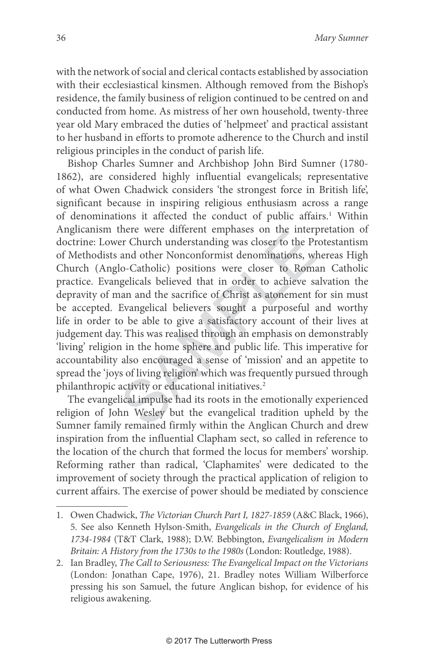with the network of social and clerical contacts established by association with their ecclesiastical kinsmen. Although removed from the Bishop's residence, the family business of religion continued to be centred on and conducted from home. As mistress of her own household, twenty-three year old Mary embraced the duties of 'helpmeet' and practical assistant to her husband in efforts to promote adherence to the Church and instil religious principles in the conduct of parish life.

There were unterest emphases on the inter-<br>er Church understanding was closer to the Pr<br>and other Nonconformist denominations, wlo-Catholic) positions were closer to Roma<br>gelicals believed that in order to achieve sa<br>aan a Bishop Charles Sumner and Archbishop John Bird Sumner (1780- 1862), are considered highly influential evangelicals; representative of what Owen Chadwick considers 'the strongest force in British life', significant because in inspiring religious enthusiasm across a range of denominations it affected the conduct of public affairs. 1 Within Anglicanism there were different emphases on the interpretation of doctrine: Lower Church understanding was closer to the Protestantism of Methodists and other Nonconformist denominations, whereas High Church (Anglo-Catholic) positions were closer to Roman Catholic practice. Evangelicals believed that in order to achieve salvation the depravity of man and the sacrifice of Christ as atonement for sin must be accepted. Evangelical believers sought a purposeful and worthy life in order to be able to give a satisfactory account of their lives at judgement day. This was realised through an emphasis on demonstrably 'living' religion in the home sphere and public life. This imperative for accountability also encouraged a sense of 'mission' and an appetite to spread the 'joys of living religion' which was frequently pursued through philanthropic activity or educational initiatives. 2

The evangelical impulse had its roots in the emotionally experienced religion of John Wesley but the evangelical tradition upheld by the Sumner family remained firmly within the Anglican Church and drew inspiration from the influential Clapham sect, so called in reference to the location of the church that formed the locus for members' worship. Reforming rather than radical, 'Claphamites' were dedicated to the improvement of society through the practical application of religion to current affairs. The exercise of power should be mediated by conscience

<sup>1.</sup> Owen Chadwick, The Victorian Church Part I, 1827-1859 (A&C Black, 1966), 5. See also Kenneth Hylson-Smith, Evangelicals in the Church of England, 1734-1984 (T&T Clark, 1988); D.W. Bebbington, Evangelicalism in Modern Britain: A History from the 1730s to the 1980s (London: Routledge, 1988).

<sup>2.</sup> Ian Bradley, The Call to Seriousness: The Evangelical Impact on the Victorians (London: Jonathan Cape, 1976), 21. Bradley notes William Wilberforce pressing his son Samuel, the future Anglican bishop, for evidence of his religious awakening.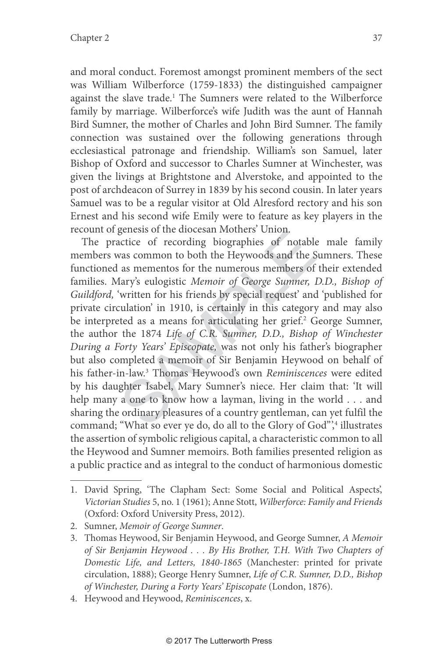and moral conduct. Foremost amongst prominent members of the sect was William Wilberforce (1759-1833) the distinguished campaigner against the slave trade. 1 The Sumners were related to the Wilberforce family by marriage. Wilberforce's wife Judith was the aunt of Hannah Bird Sumner, the mother of Charles and John Bird Sumner. The family connection was sustained over the following generations through ecclesiastical patronage and friendship. William's son Samuel, later Bishop of Oxford and successor to Charles Sumner at Winchester, was given the livings at Brightstone and Alverstoke, and appointed to the post of archdeacon of Surrey in 1839 by his second cousin. In later years Samuel was to be a regular visitor at Old Alresford rectory and his son Ernest and his second wife Emily were to feature as key players in the recount of genesis of the diocesan Mothers' Union.

ectice of recording biographies of notable<br>vas common to both the Heywoods and the S<br>as mementos for the numerous members of<br>lary's eulogistic *Memoir of George Sumner*, l<br>'written for his friends by special request' and<br>c The practice of recording biographies of notable male family members was common to both the Heywoods and the Sumners. These functioned as mementos for the numerous members of their extended families. Mary's eulogistic Memoir of George Sumner, D.D., Bishop of Guildford, 'written for his friends by special request' and 'published for private circulation' in 1910, is certainly in this category and may also be interpreted as a means for articulating her grief. 2 George Sumner, the author the 1874 Life of C.R. Sumner, D.D., Bishop of Winchester During a Forty Years' Episcopate, was not only his father's biographer but also completed a memoir of Sir Benjamin Heywood on behalf of his father-in-law. 3 Thomas Heywood's own Reminiscences were edited by his daughter Isabel, Mary Sumner's niece. Her claim that: 'It will help many a one to know how a layman, living in the world . . . and sharing the ordinary pleasures of a country gentleman, can yet fulfil the command; "What so ever ye do, do all to the Glory of God",<sup>4</sup> illustrates the assertion of symbolic religious capital, a characteristic common to all the Heywood and Sumner memoirs. Both families presented religion as a public practice and as integral to the conduct of harmonious domestic

<sup>1.</sup> David Spring, 'The Clapham Sect: Some Social and Political Aspects', Victorian Studies 5, no. 1 (1961); Anne Stott, Wilberforce: Family and Friends (Oxford: Oxford University Press, 2012).

<sup>2.</sup> Sumner, Memoir of George Sumner .

<sup>3.</sup> Thomas Heywood, Sir Benjamin Heywood, and George Sumner, A Memoir of Sir Benjamin Heywood . . . By His Brother, T.H. With Two Chapters of Domestic Life, and Letters, 1840-1865 (Manchester: printed for private circulation, 1888); George Henry Sumner, Life of C.R. Sumner, D.D., Bishop of Winchester, During a Forty Years' Episcopate (London, 1876).

<sup>4.</sup> Heywood and Heywood, Reminiscences, x.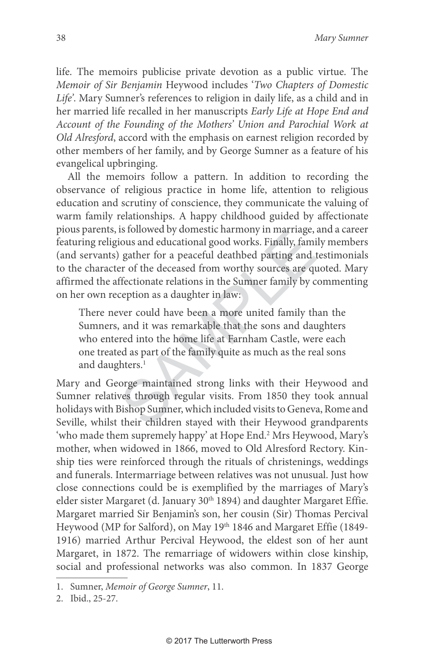life. The memoirs publicise private devotion as a public virtue. The Memoir of Sir Benjamin Heywood includes 'Two Chapters of Domestic Life'. Mary Sumner's references to religion in daily life, as a child and in her married life recalled in her manuscripts Early Life at Hope End and Account of the Founding of the Mothers' Union and Parochial Work at Old Alresford, accord with the emphasis on earnest religion recorded by other members of her family, and by George Sumner as a feature of his evangelical upbringing.

Is followed by domestic narmony in marriage,<br>ious and educational good works. Finally, fami<br>gather for a peaceful deathbed parting and t<br>er of the deceased from worthy sources are quered fectionate relations in the Sumner All the memoirs follow a pattern. In addition to recording the observance of religious practice in home life, attention to religious education and scrutiny of conscience, they communicate the valuing of warm family relationships. A happy childhood guided by affectionate pious parents, is followed by domestic harmony in marriage, and a career featuring religious and educational good works. Finally, family members (and servants) gather for a peaceful deathbed parting and testimonials to the character of the deceased from worthy sources are quoted. Mary affirmed the affectionate relations in the Sumner family by commenting on her own reception as a daughter in law:

There never could have been a more united family than the Sumners, and it was remarkable that the sons and daughters who entered into the home life at Farnham Castle, were each one treated as part of the family quite as much as the real sons and daughters. 1

Mary and George maintained strong links with their Heywood and Sumner relatives through regular visits. From 1850 they took annual holidays with Bishop Sumner, which included visits to Geneva, Rome and Seville, whilst their children stayed with their Heywood grandparents 'who made them supremely happy' at Hope End. 2 Mrs Heywood, Mary's mother, when widowed in 1866, moved to Old Alresford Rectory. Kinship ties were reinforced through the rituals of christenings, weddings and funerals. Intermarriage between relatives was not unusual. Just how close connections could be is exemplified by the marriages of Mary's elder sister Margaret (d. January 30<sup>th</sup> 1894) and daughter Margaret Effie. Margaret married Sir Benjamin's son, her cousin (Sir) Thomas Percival Heywood (MP for Salford), on May 19th 1846 and Margaret Effie (1849-1916) married Arthur Percival Heywood, the eldest son of her aunt Margaret, in 1872. The remarriage of widowers within close kinship, social and professional networks was also common. In 1837 George

<sup>1.</sup> Sumner, Memoir of George Sumner, 11.

<sup>2.</sup> Ibid., 25-27.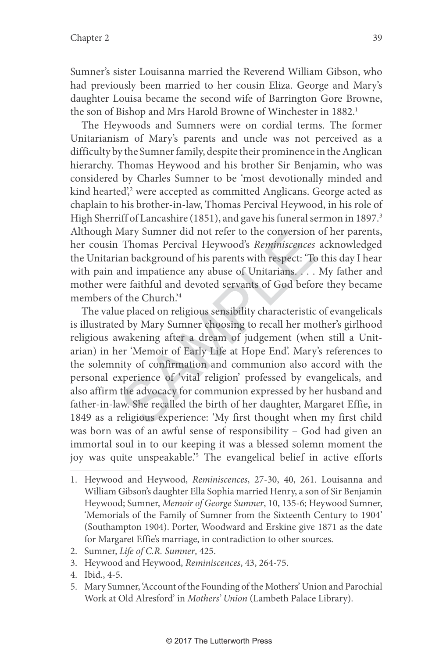Sumner's sister Louisanna married the Reverend William Gibson, who had previously been married to her cousin Eliza. George and Mary's daughter Louisa became the second wife of Barrington Gore Browne, the son of Bishop and Mrs Harold Browne of Winchester in 1882. 1

The Heywoods and Sumners were on cordial terms. The former Unitarianism of Mary's parents and uncle was not perceived as a difficulty by the Sumner family, despite their prominence in the Anglican hierarchy. Thomas Heywood and his brother Sir Benjamin, who was considered by Charles Sumner to be 'most devotionally minded and kind hearted', 2 were accepted as committed Anglicans. George acted as chaplain to his brother-in-law, Thomas Percival Heywood, in his role of High Sherriff of Lancashire (1851), and gave his funeral sermon in 1897. 3 Although Mary Sumner did not refer to the conversion of her parents, her cousin Thomas Percival Heywood's Reminiscences acknowledged the Unitarian background of his parents with respect: 'To this day I hear with pain and impatience any abuse of Unitarians. . . . My father and mother were faithful and devoted servants of God before they became members of the Church.' 4

Mary Sumner did not refer to the conversion<br>Thomas Percival Heywood's *Reminiscences*<br>an background of his parents with respect: 'To<br>and impatience any abuse of Unitarians....<br>re faithful and devoted servants of God befor<br> The value placed on religious sensibility characteristic of evangelicals is illustrated by Mary Sumner choosing to recall her mother's girlhood religious awakening after a dream of judgement (when still a Unitarian) in her 'Memoir of Early Life at Hope End'. Mary's references to the solemnity of confirmation and communion also accord with the personal experience of 'vital religion' professed by evangelicals, and also affirm the advocacy for communion expressed by her husband and father-in-law. She recalled the birth of her daughter, Margaret Effie, in 1849 as a religious experience: 'My first thought when my first child was born was of an awful sense of responsibility – God had given an immortal soul in to our keeping it was a blessed solemn moment the joy was quite unspeakable.' 5 The evangelical belief in active efforts

- 2. Sumner, Life of C.R. Sumner, 425.
- 3. Heywood and Heywood, Reminiscences, 43, 264-75.
- 4. Ibid., 4-5.
- 5. Mary Sumner, 'Account of the Founding of the Mothers' Union and Parochial Work at Old Alresford' in Mothers' Union (Lambeth Palace Library).

<sup>1.</sup> Heywood and Heywood, Reminiscences, 27-30, 40, 261. Louisanna and William Gibson's daughter Ella Sophia married Henry, a son of Sir Benjamin Heywood; Sumner, Memoir of George Sumner, 10, 135-6; Heywood Sumner, 'Memorials of the Family of Sumner from the Sixteenth Century to 1904' (Southampton 1904). Porter, Woodward and Erskine give 1871 as the date for Margaret Effie's marriage, in contradiction to other sources.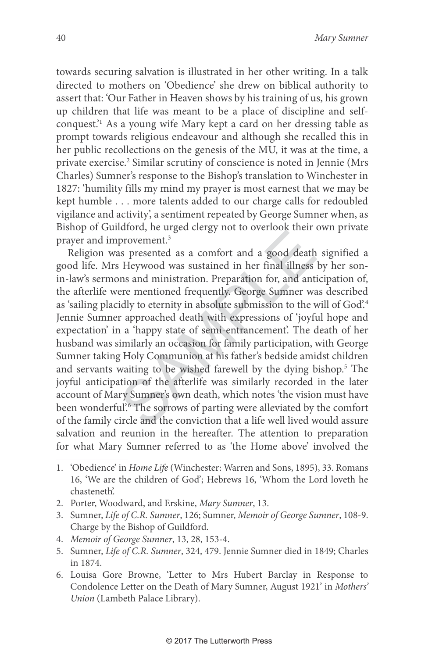towards securing salvation is illustrated in her other writing. In a talk directed to mothers on 'Obedience' she drew on biblical authority to assert that: 'Our Father in Heaven shows by his training of us, his grown up children that life was meant to be a place of discipline and selfconquest.'1 As a young wife Mary kept a card on her dressing table as prompt towards religious endeavour and although she recalled this in her public recollections on the genesis of the MU, it was at the time, a private exercise. 2 Similar scrutiny of conscience is noted in Jennie (Mrs Charles) Sumner's response to the Bishop's translation to Winchester in 1827: 'humility fills my mind my prayer is most earnest that we may be kept humble . . . more talents added to our charge calls for redoubled vigilance and activity', a sentiment repeated by George Sumner when, as Bishop of Guildford, he urged clergy not to overlook their own private prayer and improvement. 3

provement.<sup>3</sup><br>provement.<sup>3</sup><br>sixes presented as a comfort and a good death<br>Heywood was sustained in her final illness<br>nns and ministration. Preparation for, and anti-<br>ere mentioned frequently. George Sumner wa<br>idly to etern Religion was presented as a comfort and a good death signified a good life. Mrs Heywood was sustained in her final illness by her sonin-law's sermons and ministration. Preparation for, and anticipation of, the afterlife were mentioned frequently. George Sumner was described as 'sailing placidly to eternity in absolute submission to the will of God'. 4 Jennie Sumner approached death with expressions of 'joyful hope and expectation' in a 'happy state of semi-entrancement'. The death of her husband was similarly an occasion for family participation, with George Sumner taking Holy Communion at his father's bedside amidst children and servants waiting to be wished farewell by the dying bishop. 5 The joyful anticipation of the afterlife was similarly recorded in the later account of Mary Sumner's own death, which notes 'the vision must have been wonderful.<sup>8</sup> The sorrows of parting were alleviated by the comfort of the family circle and the conviction that a life well lived would assure salvation and reunion in the hereafter. The attention to preparation for what Mary Sumner referred to as 'the Home above' involved the

- 2. Porter, Woodward, and Erskine, Mary Sumner, 13.
- 3. Sumner, Life of C.R. Sumner, 126; Sumner, Memoir of George Sumner, 108-9. Charge by the Bishop of Guildford.
- 4. Memoir of George Sumner, 13, 28, 153-4.
- 5. Sumner, Life of C.R. Sumner, 324, 479. Jennie Sumner died in 1849; Charles in 1874.
- 6. Louisa Gore Browne, 'Letter to Mrs Hubert Barclay in Response to Condolence Letter on the Death of Mary Sumner, August 1921' in Mothers' Union (Lambeth Palace Library).

<sup>1. &#</sup>x27;Obedience' in Home Life (Winchester: Warren and Sons, 1895), 33. Romans 16, 'We are the children of God'; Hebrews 16, 'Whom the Lord loveth he chasteneth'.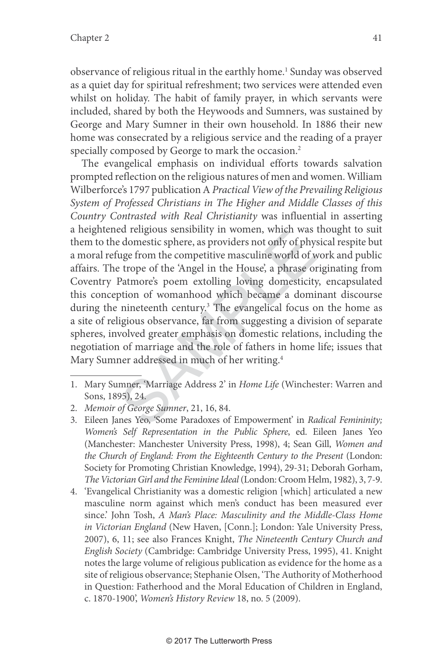observance of religious ritual in the earthly home. 1 Sunday was observed as a quiet day for spiritual refreshment; two services were attended even whilst on holiday. The habit of family prayer, in which servants were included, shared by both the Heywoods and Sumners, was sustained by George and Mary Sumner in their own household. In 1886 their new home was consecrated by a religious service and the reading of a prayer specially composed by George to mark the occasion. 2

Ed Tengtous sensionity in wornen, which was<br>
edomestic sphere, as providers not only of phy-<br>
uge from the competitive masculine world of w<br>
trope of the 'Angel in the House', a phrase or<br>
Patmore's poem extolling loving d The evangelical emphasis on individual efforts towards salvation prompted reflection on the religious natures of men and women. William Wilberforce's 1797 publication A Practical View of the Prevailing Religious System of Professed Christians in The Higher and Middle Classes of this Country Contrasted with Real Christianity was influential in asserting a heightened religious sensibility in women, which was thought to suit them to the domestic sphere, as providers not only of physical respite but a moral refuge from the competitive masculine world of work and public affairs. The trope of the 'Angel in the House', a phrase originating from Coventry Patmore's poem extolling loving domesticity, encapsulated this conception of womanhood which became a dominant discourse during the nineteenth century. 3 The evangelical focus on the home as a site of religious observance, far from suggesting a division of separate spheres, involved greater emphasis on domestic relations, including the negotiation of marriage and the role of fathers in home life; issues that Mary Sumner addressed in much of her writing. 4

<sup>1.</sup> Mary Sumner, 'Marriage Address 2' in Home Life (Winchester: Warren and Sons, 1895), 24.

<sup>2.</sup> Memoir of George Sumner, 21, 16, 84.

<sup>3.</sup> Eileen Janes Yeo, 'Some Paradoxes of Empowerment' in Radical Femininity; Women's Self Representation in the Public Sphere, ed. Eileen Janes Yeo (Manchester: Manchester University Press, 1998), 4; Sean Gill, Women and the Church of England: From the Eighteenth Century to the Present (London: Society for Promoting Christian Knowledge, 1994), 29-31; Deborah Gorham, The Victorian Girl and the Feminine Ideal (London: Croom Helm, 1982), 3, 7-9.

<sup>4. &#</sup>x27;Evangelical Christianity was a domestic religion [which] articulated a new masculine norm against which men's conduct has been measured ever since.' John Tosh, A Man's Place: Masculinity and the Middle-Class Home in Victorian England (New Haven, [Conn.]; London: Yale University Press, 2007), 6, 11; see also Frances Knight, The Nineteenth Century Church and English Society (Cambridge: Cambridge University Press, 1995), 41. Knight notes the large volume of religious publication as evidence for the home as a site of religious observance; Stephanie Olsen, 'The Authority of Motherhood in Question: Fatherhood and the Moral Education of Children in England, c. 1870-1900', Women's History Review 18, no. 5 (2009).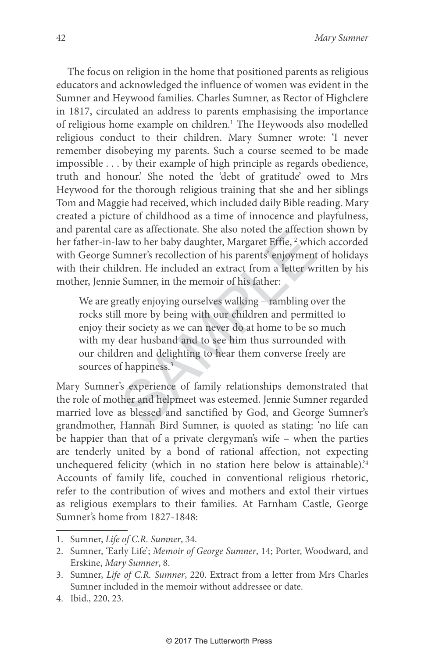The focus on religion in the home that positioned parents as religious educators and acknowledged the influence of women was evident in the Sumner and Heywood families. Charles Sumner, as Rector of Highclere in 1817, circulated an address to parents emphasising the importance of religious home example on children. 1 The Heywoods also modelled religious conduct to their children. Mary Sumner wrote: 'I never remember disobeying my parents. Such a course seemed to be made impossible . . . by their example of high principle as regards obedience, truth and honour.' She noted the 'debt of gratitude' owed to Mrs Heywood for the thorough religious training that she and her siblings Tom and Maggie had received, which included daily Bible reading. Mary created a picture of childhood as a time of innocence and playfulness, and parental care as affectionate. She also noted the affection shown by her father-in-law to her baby daughter, Margaret Effie, 2 which accorded with George Sumner's recollection of his parents' enjoyment of holidays with their children. He included an extract from a letter written by his mother, Jennie Sumner, in the memoir of his father:

are as anectionate. Sie also noted the anection<br>aw to her baby daughter, Margaret Effie, <sup>2</sup> whit<br>umner's recollection of his parents' enjoyment<br>dren. He included an extract from a letter wi<br>? Sumner, in the memoir of his We are greatly enjoying ourselves walking – rambling over the rocks still more by being with our children and permitted to enjoy their society as we can never do at home to be so much with my dear husband and to see him thus surrounded with our children and delighting to hear them converse freely are sources of happiness. 3

Mary Sumner's experience of family relationships demonstrated that the role of mother and helpmeet was esteemed. Jennie Sumner regarded married love as blessed and sanctified by God, and George Sumner's grandmother, Hannah Bird Sumner, is quoted as stating: 'no life can be happier than that of a private clergyman's wife – when the parties are tenderly united by a bond of rational affection, not expecting unchequered felicity (which in no station here below is attainable).<sup>4</sup> Accounts of family life, couched in conventional religious rhetoric, refer to the contribution of wives and mothers and extol their virtues as religious exemplars to their families. At Farnham Castle, George Sumner's home from 1827-1848:

<sup>1.</sup> Sumner, Life of C.R. Sumner, 34.

<sup>2.</sup> Sumner, 'Early Life'; Memoir of George Sumner, 14; Porter, Woodward, and Erskine, Mary Sumner, 8.

<sup>3.</sup> Sumner, Life of C.R. Sumner, 220. Extract from a letter from Mrs Charles Sumner included in the memoir without addressee or date.

<sup>4.</sup> Ibid., 220, 23.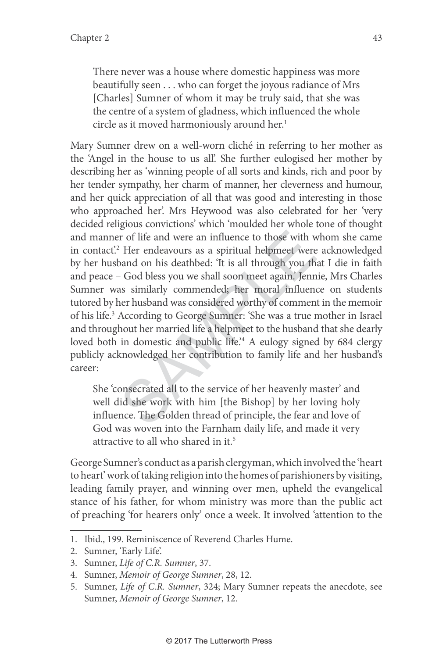There never was a house where domestic happiness was more beautifully seen . . . who can forget the joyous radiance of Mrs [Charles] Sumner of whom it may be truly said, that she was the centre of a system of gladness, which influenced the whole circle as it moved harmoniously around her. 1

If the and were an influence to those with were the Her endeavours as a spiritual helpmeet were coand on his deathbed: 'It is all through you the God bless you we shall soon meet again.' Jenn as similarly commended; her mo Mary Sumner drew on a well-worn cliché in referring to her mother as the 'Angel in the house to us all'. She further eulogised her mother by describing her as 'winning people of all sorts and kinds, rich and poor by her tender sympathy, her charm of manner, her cleverness and humour, and her quick appreciation of all that was good and interesting in those who approached her'. Mrs Heywood was also celebrated for her 'very decided religious convictions' which 'moulded her whole tone of thought and manner of life and were an influence to those with whom she came in con tact'. 2 Her endeavours as a spiritual helpmeet were acknowledged by her husband on his deathbed: 'It is all through you that I die in faith and peace – God bless you we shall soon meet again.' Jennie, Mrs Charles Sumner was similarly commended; her moral influence on students tutored by her husband was considered worthy of comment in the memoir of his life. 3 According to George Sumner: 'She was a true mother in Israel and throughout her married life a helpmeet to the husband that she dearly loved both in domestic and public life.<sup>4</sup> A eulogy signed by 684 clergy publicly acknowledged her contribution to family life and her husband's career:

She 'consecrated all to the service of her heavenly master' and well did she work with him [the Bishop] by her loving holy influence. The Golden thread of principle, the fear and love of God was woven into the Farnham daily life, and made it very attractive to all who shared in it. 5

George Sumner's conduct as a parish clergyman, which involved the 'heart to heart' work of taking religion into the homes of parishioners by visiting, leading family prayer, and winning over men, upheld the evangelical stance of his father, for whom ministry was more than the public act of preaching 'for hearers only' once a week. It involved 'attention to the

<sup>1.</sup> Ibid., 199. Reminiscence of Reverend Charles Hume.

<sup>2.</sup> Sumner, 'Early Life'.

<sup>3.</sup> Sumner, Life of C.R. Sumner, 37.

<sup>4.</sup> Sumner, Memoir of George Sumner, 28, 12.

<sup>5.</sup> Sumner, Life of C.R. Sumner, 324; Mary Sumner repeats the anecdote, see Sumner, Memoir of George Sumner, 12.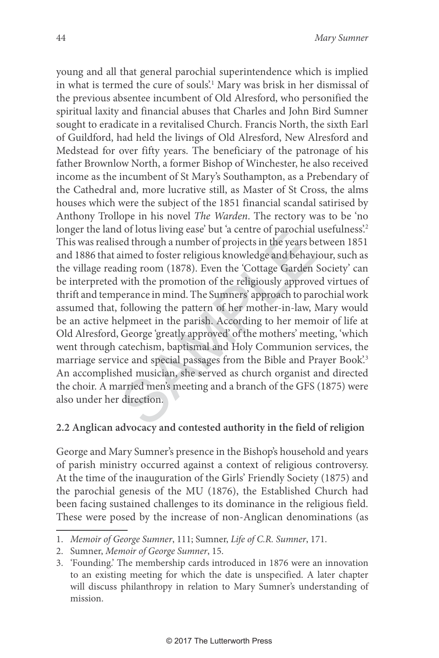ation of orders are but a centre of patochian<br>ed through a number of projects in the years be<br>aimed to foster religious knowledge and behaviding room (1878). Even the 'Cottage Garden<br>with the promotion of the religiously a young and all that general parochial superintendence which is implied in what is termed the cure of souls'. 1 Mary was brisk in her dismissal of the previous absentee incumbent of Old Alresford, who personified the spiritual laxity and financial abuses that Charles and John Bird Sumner sought to eradicate in a revitalised Church. Francis North, the sixth Earl of Guildford, had held the livings of Old Alresford, New Alresford and Medstead for over fifty years. The beneficiary of the patronage of his father Brownlow North, a former Bishop of Winchester, he also received income as the incumbent of St Mary's Southampton, as a Prebendary of the Cathedral and, more lucrative still, as Master of St Cross, the alms houses which were the subject of the 1851 financial scandal satirised by Anthony Trollope in his novel The Warden. The rectory was to be 'no longer the land of lotus living ease' but 'a centre of parochial usefulness'. 2 This was realised through a number of projects in the years between 1851 and 1886 that aimed to foster religious knowledge and behaviour, such as the village reading room (1878). Even the 'Cottage Garden Society' can be interpreted with the promotion of the religiously approved virtues of thrift and temperance in mind. The Sumners' approach to parochial work assumed that, following the pattern of her mother-in-law, Mary would be an active helpmeet in the parish. According to her memoir of life at Old Alresford, George 'greatly approved' of the mothers' meeting, 'which went through catechism, baptismal and Holy Communion services, the marriage service and special passages from the Bible and Prayer Book'. 3 An accomplished musician, she served as church organist and directed the choir. A married men's meeting and a branch of the GFS (1875) were also under her direction.

## **2.2 Anglican advocacy and contested authority in the field of religion**

George and Mary Sumner's presence in the Bishop's household and years of parish ministry occurred against a context of religious controversy. At the time of the inauguration of the Girls' Friendly Society (1875) and the parochial genesis of the MU (1876), the Established Church had been facing sustained challenges to its dominance in the religious field. These were posed by the increase of non-Anglican denominations (as

<sup>1.</sup> Memoir of George Sumner, 111; Sumner, Life of C.R. Sumner, 171.

<sup>2.</sup> Sumner, Memoir of George Sumner, 15.

<sup>3. &#</sup>x27;Founding.' The membership cards introduced in 1876 were an innovation to an existing meeting for which the date is unspecified. A later chapter will discuss philanthropy in relation to Mary Sumner's understanding of mission.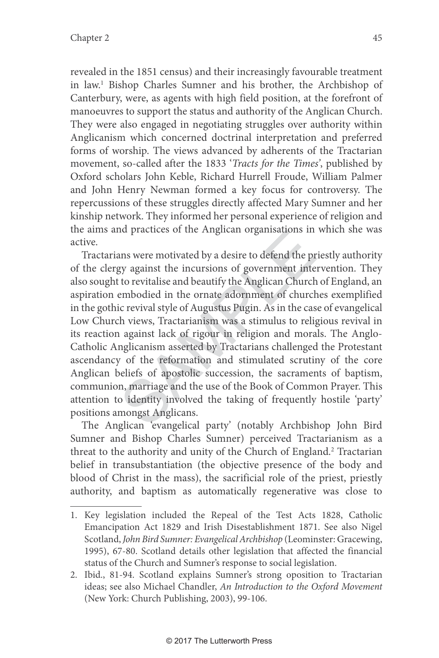revealed in the 1851 census) and their increasingly favourable treatment in law. 1 Bishop Charles Sumner and his brother, the Archbishop of Canterbury, were, as agents with high field position, at the forefront of manoeuvres to support the status and authority of the Anglican Church. They were also engaged in negotiating struggles over authority within Anglicanism which concerned doctrinal interpretation and preferred forms of worship. The views advanced by adherents of the Tractarian movement, so-called after the 1833 'Tracts for the Times', published by Oxford scholars John Keble, Richard Hurrell Froude, William Palmer and John Henry Newman formed a key focus for controversy. The repercussions of these struggles directly affected Mary Sumner and her kinship network. They informed her personal experience of religion and the aims and practices of the Anglican organisations in which she was active.

In practices of the Anglican organisations in<br>the practices of the Highean organisations in<br>the propagainst the incursions of government inte<br>to revitalise and beautify the Anglican Church<br>embodied in the ornate adornment Tractarians were motivated by a desire to defend the priestly authority of the clergy against the incursions of government intervention. They also sought to revitalise and beautify the Anglican Church of England, an aspiration embodied in the ornate adornment of churches exemplified in the gothic revival style of Augustus Pugin. As in the case of evangelical Low Church views, Tractarianism was a stimulus to religious revival in its reaction against lack of rigour in religion and morals. The Anglo-Catholic Anglicanism asserted by Tractarians challenged the Protestant ascendancy of the reformation and stimulated scrutiny of the core Anglican beliefs of apostolic succession, the sacraments of baptism, communion, marriage and the use of the Book of Common Prayer. This attention to identity involved the taking of frequently hostile 'party' positions amongst Anglicans.

The Anglican 'evangelical party' (notably Archbishop John Bird Sumner and Bishop Charles Sumner) perceived Tractarianism as a threat to the authority and unity of the Church of England. 2 Tractarian belief in transubstantiation (the objective presence of the body and blood of Christ in the mass), the sacrificial role of the priest, priestly authority, and baptism as automatically regenerative was close to

<sup>1.</sup> Key legislation included the Repeal of the Test Acts 1828, Catholic Emancipation Act 1829 and Irish Disestablishment 1871. See also Nigel Scotland, John Bird Sumner: Evangelical Archbishop (Leominster: Gracewing, 1995), 67-80. Scotland details other legislation that affected the financial status of the Church and Sumner's response to social legislation.

<sup>2.</sup> Ibid., 81-94. Scotland explains Sumner's strong oposition to Tractarian ideas; see also Michael Chandler, An Introduction to the Oxford Movement (New York: Church Publishing, 2003), 99-106.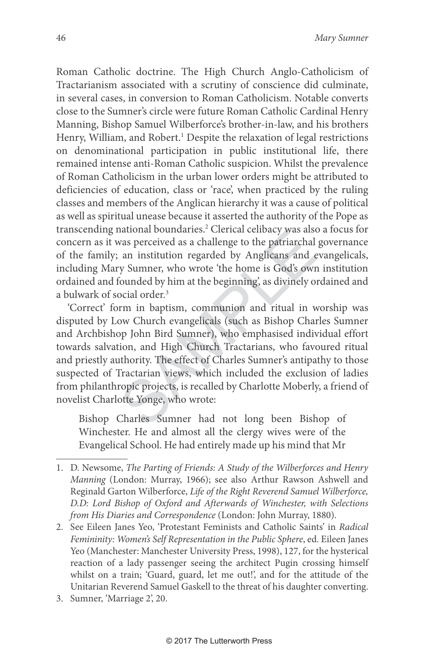Roman Catholic doctrine. The High Church Anglo-Catholicism of Tractarianism associated with a scrutiny of conscience did culminate, in several cases, in conversion to Roman Catholicism. Notable converts close to the Sumner's circle were future Roman Catholic Cardinal Henry Manning, Bishop Samuel Wilberforce's brother-in-law, and his brothers Henry, William, and Robert. 1 Despite the relaxation of legal restrictions on denominational participation in public institutional life, there remained intense anti-Roman Catholic suspicion. Whilst the prevalence of Roman Catholicism in the urban lower orders might be attributed to deficiencies of education, class or 'race', when practiced by the ruling classes and members of the Anglican hierarchy it was a cause of political as well as spiritual unease because it asserted the authority of the Pope as transcending national boundaries. 2 Clerical celibacy was also a focus for concern as it was perceived as a challenge to the patriarchal governance of the family; an institution regarded by Anglicans and evangelicals, including Mary Sumner, who wrote 'the home is God's own institution ordained and founded by him at the beginning', as divinely ordained and a bulwark of social order. 3

rational boundaries. Clerical denotey was also<br>was perceived as a challenge to the patriarchal<br>an institution regarded by Anglicans and e<br>y Sumner, who wrote 'the home is God's own<br>founded by him at the beginning', as divi 'Correct' form in baptism, communion and ritual in worship was disputed by Low Church evangelicals (such as Bishop Charles Sumner and Archbishop John Bird Sumner), who emphasised individual effort towards salvation, and High Church Tractarians, who favoured ritual and priestly authority. The effect of Charles Sumner's antipathy to those suspected of Tractarian views, which included the exclusion of ladies from philanthropic projects, is recalled by Charlotte Moberly, a friend of novelist Charlotte Yonge, who wrote:

Bishop Charles Sumner had not long been Bishop of Winchester. He and almost all the clergy wives were of the Evangelical School. He had entirely made up his mind that Mr

3. Sumner, 'Marriage 2', 20.

<sup>1.</sup> D. Newsome, The Parting of Friends: A Study of the Wilberforces and Henry Manning (London: Murray, 1966); see also Arthur Rawson Ashwell and Reginald Garton Wilberforce, Life of the Right Reverend Samuel Wilberforce, D.D: Lord Bishop of Oxford and Afterwards of Winchester, with Selections from His Diaries and Correspondence (London: John Murray, 1880).

<sup>2.</sup> See Eileen Janes Yeo, 'Protestant Feminists and Catholic Saints' in Radical Femininity: Women's Self Representation in the Public Sphere, ed. Eileen Janes Yeo (Manchester: Manchester University Press, 1998), 127, for the hysterical reaction of a lady passenger seeing the architect Pugin crossing himself whilst on a train; 'Guard, guard, let me out!', and for the attitude of the Unitarian Reverend Samuel Gaskell to the threat of his daughter converting.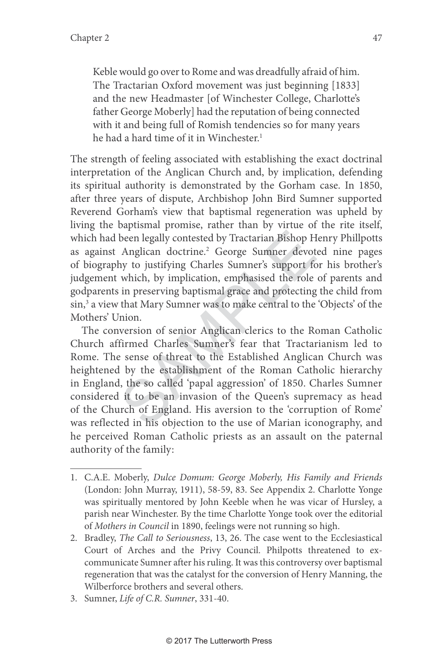Keble would go over to Rome and was dreadfully afraid of him. The Tractarian Oxford movement was just beginning [1833] and the new Headmaster [of Winchester College, Charlotte's father George Moberly] had the reputation of being connected with it and being full of Romish tendencies so for many years he had a hard time of it in Winchester. 1

The strength of feeling associated with establishing the exact doctrinal interpretation of the Anglican Church and, by implication, defending its spiritual authority is demonstrated by the Gorham case. In 1850, after three years of dispute, Archbishop John Bird Sumner supported Reverend Gorham's view that baptismal regeneration was upheld by living the baptismal promise, rather than by virtue of the rite itself, which had been legally contested by Tractarian Bishop Henry Phillpotts as against Anglican doctrine. 2 George Sumner devoted nine pages of biography to justifying Charles Sumner's support for his brother's judgement which, by implication, emphasised the role of parents and godparents in preserving baptismal grace and protecting the child from sin, 3 a view that Mary Sumner was to make central to the 'Objects' of the Mothers' Union.

been legally contested by Tractarian Bishop H<br>Anglican doctrine.<sup>2</sup> George Sumner devot<br>hy to justifying Charles Sumner's support fo<br>which, by implication, emphasised the role<br>in preserving baptismal grace and protecting<br>t The conversion of senior Anglican clerics to the Roman Catholic Church affirmed Charles Sumner's fear that Tractarianism led to Rome. The sense of threat to the Established Anglican Church was heightened by the establishment of the Roman Catholic hierarchy in England, the so called 'papal aggression' of 1850. Charles Sumner considered it to be an invasion of the Queen's supremacy as head of the Church of England. His aversion to the 'corruption of Rome' was reflected in his objection to the use of Marian iconography, and he perceived Roman Catholic priests as an assault on the paternal authority of the family:

<sup>1.</sup> C.A.E. Moberly, Dulce Domum: George Moberly, His Family and Friends (London: John Murray, 1911), 58-59, 83. See Appendix 2. Charlotte Yonge was spiritually mentored by John Keeble when he was vicar of Hursley, a parish near Winchester. By the time Charlotte Yonge took over the editorial of Mothers in Council in 1890, feelings were not running so high.

<sup>2.</sup> Bradley, The Call to Seriousness, 13, 26. The case went to the Ecclesiastical Court of Arches and the Privy Council. Philpotts threatened to excommunicate Sumner after his ruling. It was this controversy over baptismal regeneration that was the catalyst for the conversion of Henry Manning, the Wilberforce brothers and several others.

<sup>3.</sup> Sumner, Life of C.R. Sumner, 331-40.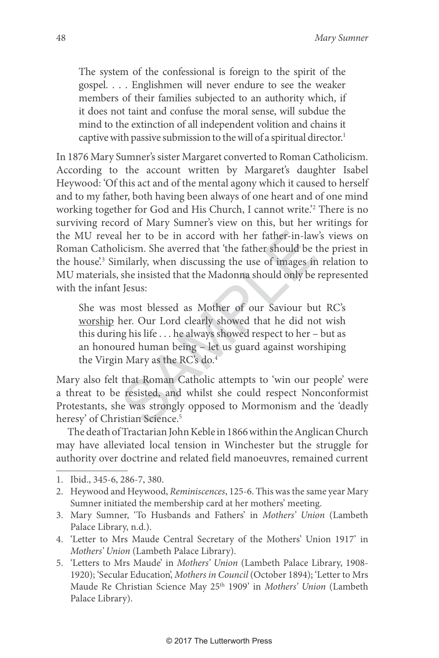The system of the confessional is foreign to the spirit of the gospel. . . . Englishmen will never endure to see the weaker members of their families subjected to an authority which, if it does not taint and confuse the moral sense, will subdue the mind to the extinction of all independent volition and chains it captive with passive submission to the will of a spiritual director. 1

I her to be in accord with her father-in-law<br>licism. She averred that 'the father should be t<br>milarly, when discussing the use of images in<br>she insisted that the Madonna should only be<br>t Jesus:<br>most blessed as Mother of ou In 1876 Mary Sumner's sister Margaret converted to Roman Catholicism. According to the account written by Margaret's daughter Isabel Heywood: 'Of this act and of the mental agony which it caused to herself and to my father, both having been always of one heart and of one mind working together for God and His Church, I cannot write.' 2 There is no surviving record of Mary Sumner's view on this, but her writings for the MU reveal her to be in accord with her father-in-law's views on Roman Catholicism. She averred that 'the father should be the priest in the house'. 3 Similarly, when discussing the use of images in relation to MU materials, she insisted that the Madonna should only be represented with the infant Jesus:

She was most blessed as Mother of our Saviour but RC's worship her. Our Lord clearly showed that he did not wish this during his life . . . he always showed respect to her – but as an honoured human being – let us guard against worshiping the Virgin Mary as the RC's do. 4

Mary also felt that Roman Catholic attempts to 'win our people' were a threat to be resisted, and whilst she could respect Nonconformist Protestants, she was strongly opposed to Mormonism and the 'deadly heresy' of Christian Science. 5

The death of Tractarian John Keble in 1866 within the Anglican Church may have alleviated local tension in Winchester but the struggle for authority over doctrine and related field manoeuvres, remained current

- 3. Mary Sumner, 'To Husbands and Fathers' in Mothers' Union (Lambeth Palace Library, n.d.).
- 4. 'Letter to Mrs Maude Central Secretary of the Mothers' Union 1917' in Mothers' Union (Lambeth Palace Library).
- 5. 'Letters to Mrs Maude' in Mothers' Union (Lambeth Palace Library, 1908- 1920); 'Secular Education', Mothers in Council (October 1894); 'Letter to Mrs Maude Re Christian Science May 25<sup>th</sup> 1909' in Mothers' Union (Lambeth Palace Library).

<sup>1.</sup> Ibid., 345-6, 286-7, 380.

<sup>2.</sup> Heywood and Heywood, Reminiscences, 125-6. This was the same year Mary Sumner initiated the membership card at her mothers' meeting.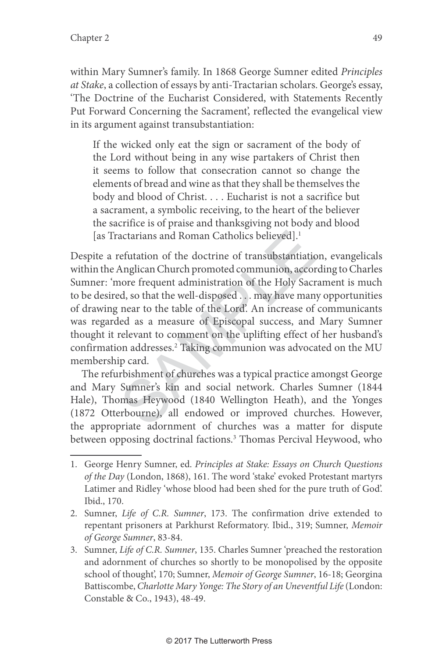within Mary Sumner's family. In 1868 George Sumner edited Principles at Stake, a collection of essays by anti-Tractarian scholars. George's essay, 'The Doctrine of the Eucharist Considered, with Statements Recently Put Forward Concerning the Sacrament', reflected the evangelical view in its argument against transubstantiation:

If the wicked only eat the sign or sacrament of the body of the Lord without being in any wise partakers of Christ then it seems to follow that consecration cannot so change the elements of bread and wine as that they shall be themselves the body and blood of Christ. . . . Eucharist is not a sacrifice but a sacrament, a symbolic receiving, to the heart of the believer the sacrifice is of praise and thanksgiving not body and blood [as Tractarians and Roman Catholics believed]. 1

actarians and Roman Catholics believed].<sup>1</sup><br>Fefutation of the doctrine of transubstantiatic<br>Anglican Church promoted communion, accor<br>nore frequent administration of the Holy Sacr<br>d, so that the well-disposed . . . may hav Despite a refutation of the doctrine of transubstantiation, evangelicals within the Anglican Church promoted communion, according to Charles Sumner: 'more frequent administration of the Holy Sacrament is much to be desired, so that the well-disposed . . . may have many opportunities of drawing near to the table of the Lord'. An increase of communicants was regarded as a measure of Episcopal success, and Mary Sumner thought it relevant to comment on the uplifting effect of her husband's confirmation addresses. 2 Taking communion was advocated on the MU membership card.

The refurbishment of churches was a typical practice amongst George and Mary Sumner's kin and social network. Charles Sumner (1844 Hale), Thomas Heywood (1840 Wellington Heath), and the Yonges (1872 Otterbourne), all endowed or improved churches. However, the appropriate adornment of churches was a matter for dispute between opposing doctrinal factions. 3 Thomas Percival Heywood, who

- 2. Sumner, Life of C.R. Sumner, 173. The confirmation drive extended to repentant prisoners at Parkhurst Reformatory. Ibid., 319; Sumner, Memoir of George Sumner, 83-84.
- 3. Sumner, Life of C.R. Sumner, 135. Charles Sumner 'preached the restoration and adornment of churches so shortly to be monopolised by the opposite school of thought', 170; Sumner, Memoir of George Sumner, 16-18; Georgina Battiscombe, Charlotte Mary Yonge: The Story of an Uneventful Life (London: Constable & Co., 1943), 48-49.

<sup>1.</sup> George Henry Sumner, ed. Principles at Stake: Essays on Church Questions of the Day (London, 1868), 161. The word 'stake' evoked Protestant martyrs Latimer and Ridley 'whose blood had been shed for the pure truth of God'. Ibid., 170.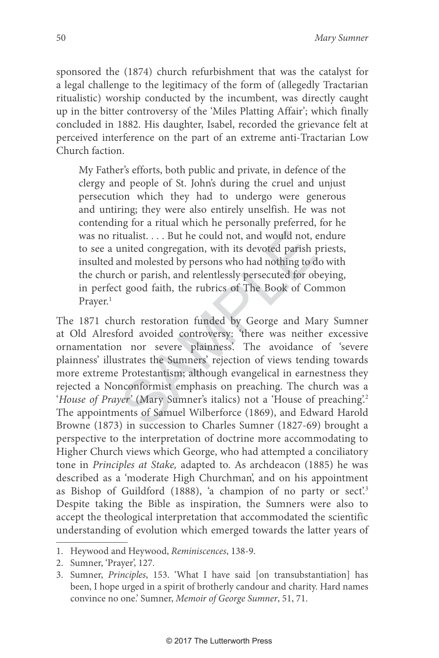sponsored the (1874) church refurbishment that was the catalyst for a legal challenge to the legitimacy of the form of (allegedly Tractarian ritualistic) worship conducted by the incumbent, was directly caught up in the bitter controversy of the 'Miles Platting Affair'; which finally concluded in 1882. His daughter, Isabel, recorded the grievance felt at perceived interference on the part of an extreme anti-Tractarian Low Church faction.

My Father's efforts, both public and private, in defence of the clergy and people of St. John's during the cruel and unjust persecution which they had to undergo were generous and untiring; they were also entirely unselfish. He was not contending for a ritual which he personally preferred, for he was no ritualist. . . . But he could not, and would not, endure to see a united congregation, with its devoted parish priests, insulted and molested by persons who had nothing to do with the church or parish, and relentlessly persecuted for obeying, in perfect good faith, the rubrics of The Book of Common Prayer. 1

tualist.... But he could not, and would not, a<br>united congregation, with its devoted parish µ<br>and molested by persons who had nothing to d<br>th or parish, and relentlessly persecuted for obt<br>y good faith, the rubrics of The The 1871 church restoration funded by George and Mary Sumner at Old Alresford avoided controversy: 'there was neither excessive ornamentation nor severe plainness'. The avoidance of 'severe plainness' illustrates the Sumners' rejection of views tending towards more extreme Protestantism; although evangelical in earnestness they rejected a Nonconformist emphasis on preaching. The church was a 'House of Prayer' (Mary Sumner's italics) not a 'House of preaching'.2 The appointments of Samuel Wilberforce (1869), and Edward Harold Browne (1873) in succession to Charles Sumner (1827-69) brought a perspective to the interpretation of doctrine more accommodating to Higher Church views which George, who had attempted a conciliatory tone in Principles at Stake, adapted to. As archdeacon (1885) he was described as a 'moderate High Churchman', and on his appointment as Bishop of Guildford (1888), 'a champion of no party or sect'.<sup>3</sup> Despite taking the Bible as inspiration, the Sumners were also to accept the theological interpretation that accommodated the scientific understanding of evolution which emerged towards the latter years of

<sup>1.</sup> Heywood and Heywood, Reminiscences, 138-9.

<sup>2.</sup> Sumner, 'Prayer', 127.

<sup>3.</sup> Sumner, Principles, 153. 'What I have said [on transubstantiation] has been, I hope urged in a spirit of brotherly candour and charity. Hard names convince no one.' Sumner, Memoir of George Sumner, 51, 71.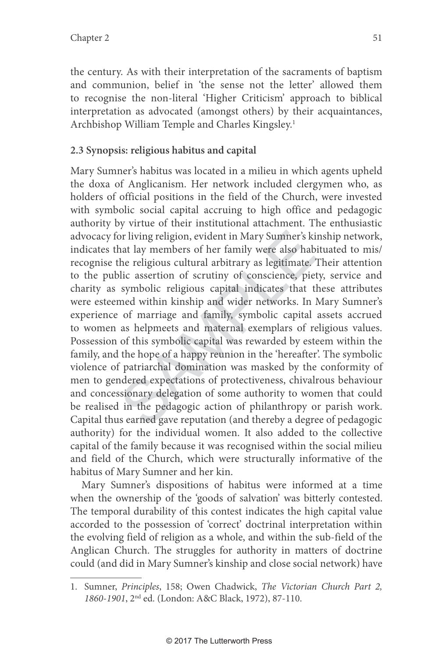the century. As with their interpretation of the sacraments of baptism and communion, belief in 'the sense not the letter' allowed them to recognise the non-literal 'Higher Criticism' approach to biblical interpretation as advocated (amongst others) by their acquaintances, Archbishop William Temple and Charles Kingsley. 1

## **2.3 Synopsis: religious habitus and capital**

or living religion, evident in Mary Sumner's kind that lay members of her family were also hab the religious cultural arbitrary as legitimate. I<br>ilc assertion of scrutiny of conscience, piet symbolic religious capital indi Mary Sumner's habitus was located in a milieu in which agents upheld the doxa of Anglicanism. Her network included clergymen who, as holders of official positions in the field of the Church, were invested with symbolic social capital accruing to high office and pedagogic authority by virtue of their institutional attachment. The enthusiastic advocacy for living religion, evident in Mary Sumner's kinship network, indicates that lay members of her family were also habituated to mis/ recognise the religious cultural arbitrary as legitimate. Their attention to the public assertion of scrutiny of conscience, piety, service and charity as symbolic religious capital indicates that these attributes were esteemed within kinship and wider networks. In Mary Sumner's experience of marriage and family, symbolic capital assets accrued to women as helpmeets and maternal exemplars of religious values. Possession of this symbolic capital was rewarded by esteem within the family, and the hope of a happy reunion in the 'hereafter'. The symbolic violence of patriarchal domination was masked by the conformity of men to gendered expectations of protectiveness, chivalrous behaviour and concessionary delegation of some authority to women that could be realised in the pedagogic action of philanthropy or parish work. Capital thus earned gave reputation (and thereby a degree of pedagogic authority) for the individual women. It also added to the collective capital of the family because it was recognised within the social milieu and field of the Church, which were structurally informative of the habitus of Mary Sumner and her kin.

Mary Sumner's dispositions of habitus were informed at a time when the ownership of the 'goods of salvation' was bitterly contested. The temporal durability of this contest indicates the high capital value accorded to the possession of 'correct' doctrinal interpretation within the evolving field of religion as a whole, and within the sub-field of the Anglican Church. The struggles for authority in matters of doctrine could (and did in Mary Sumner's kinship and close social network) have

<sup>1.</sup> Sumner, Principles, 158; Owen Chadwick, The Victorian Church Part 2, 1860-1901, 2nd ed. (London: A&C Black, 1972), 87-110.